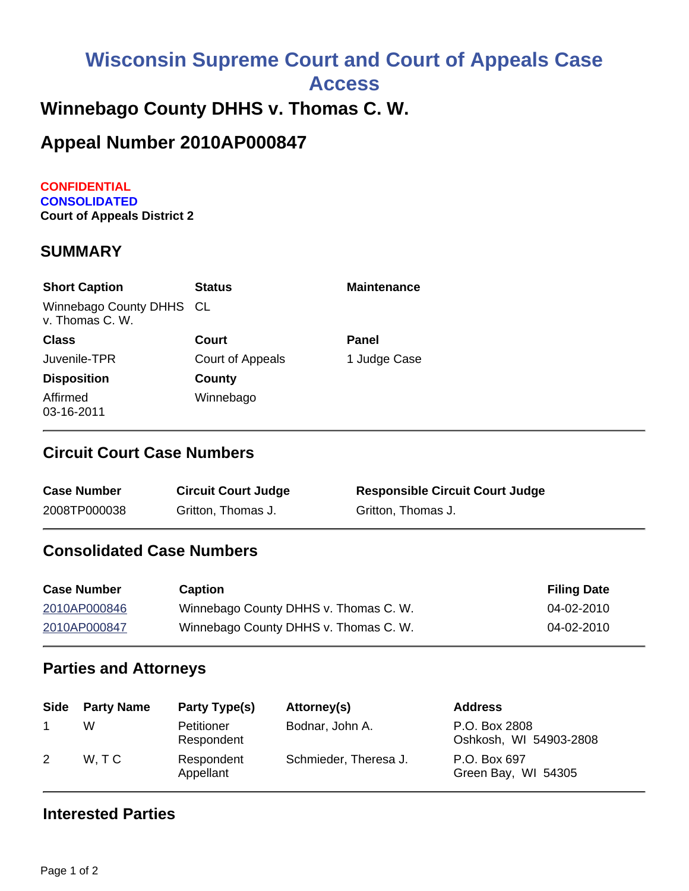# **Wisconsin Supreme Court and Court of Appeals Case**

**Access**

## **Winnebago County DHHS v. Thomas C. W.**

## **Appeal Number 2010AP000847**

**CONFIDENTIAL CONSOLIDATED Court of Appeals District 2**

#### **SUMMARY**

| <b>Short Caption</b>                        | <b>Status</b>    | <b>Maintenance</b> |
|---------------------------------------------|------------------|--------------------|
| Winnebago County DHHS CL<br>v. Thomas C. W. |                  |                    |
| <b>Class</b>                                | Court            | Panel              |
| Juvenile-TPR                                | Court of Appeals | 1 Judge Case       |
| <b>Disposition</b>                          | County           |                    |
| Affirmed<br>03-16-2011                      | Winnebago        |                    |

#### **Circuit Court Case Numbers**

| <b>Case Number</b> | <b>Circuit Court Judge</b> | <b>Responsible Circuit Court Judge</b> |
|--------------------|----------------------------|----------------------------------------|
| 2008TP000038       | Gritton, Thomas J.         | Gritton, Thomas J.                     |

#### **Consolidated Case Numbers**

| <b>Case Number</b> | <b>Caption</b>                        | <b>Filing Date</b> |
|--------------------|---------------------------------------|--------------------|
| 2010AP000846       | Winnebago County DHHS v. Thomas C. W. | 04-02-2010         |
| 2010AP000847       | Winnebago County DHHS v. Thomas C. W. | 04-02-2010         |

#### **Parties and Attorneys**

| Side | <b>Party Name</b> | Party Type(s)            | Attorney(s)           | <b>Address</b>                          |
|------|-------------------|--------------------------|-----------------------|-----------------------------------------|
|      | W                 | Petitioner<br>Respondent | Bodnar, John A.       | P.O. Box 2808<br>Oshkosh, WI 54903-2808 |
| 2    | W.TC              | Respondent<br>Appellant  | Schmieder, Theresa J. | P.O. Box 697<br>Green Bay, WI 54305     |

#### **Interested Parties**